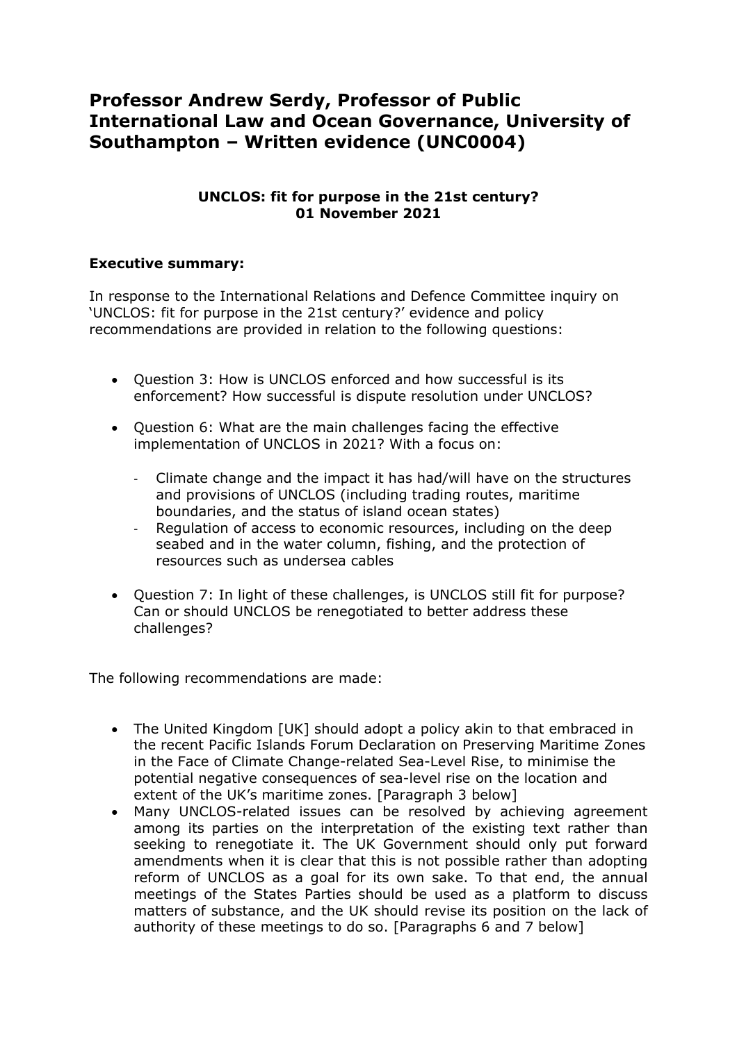# **Professor Andrew Serdy, Professor of Public International Law and Ocean Governance, University of Southampton – Written evidence (UNC0004)**

## **UNCLOS: fit for purpose in the 21st century? 01 November 2021**

## **Executive summary:**

In response to the International Relations and Defence Committee inquiry on 'UNCLOS: fit for purpose in the 21st century?' evidence and policy recommendations are provided in relation to the following questions:

- Question 3: How is UNCLOS enforced and how successful is its enforcement? How successful is dispute resolution under UNCLOS?
- Question 6: What are the main challenges facing the effective implementation of UNCLOS in 2021? With a focus on:
	- Climate change and the impact it has had/will have on the structures and provisions of UNCLOS (including trading routes, maritime boundaries, and the status of island ocean states)
	- Regulation of access to economic resources, including on the deep seabed and in the water column, fishing, and the protection of resources such as undersea cables
- Ouestion 7: In light of these challenges, is UNCLOS still fit for purpose? Can or should UNCLOS be renegotiated to better address these challenges?

The following recommendations are made:

- The United Kingdom [UK] should adopt a policy akin to that embraced in the recent Pacific Islands Forum Declaration on Preserving Maritime Zones in the Face of Climate Change-related Sea-Level Rise, to minimise the potential negative consequences of sea-level rise on the location and extent of the UK's maritime zones. [Paragraph 3 below]
- Many UNCLOS-related issues can be resolved by achieving agreement among its parties on the interpretation of the existing text rather than seeking to renegotiate it. The UK Government should only put forward amendments when it is clear that this is not possible rather than adopting reform of UNCLOS as a goal for its own sake. To that end, the annual meetings of the States Parties should be used as a platform to discuss matters of substance, and the UK should revise its position on the lack of authority of these meetings to do so. [Paragraphs 6 and 7 below]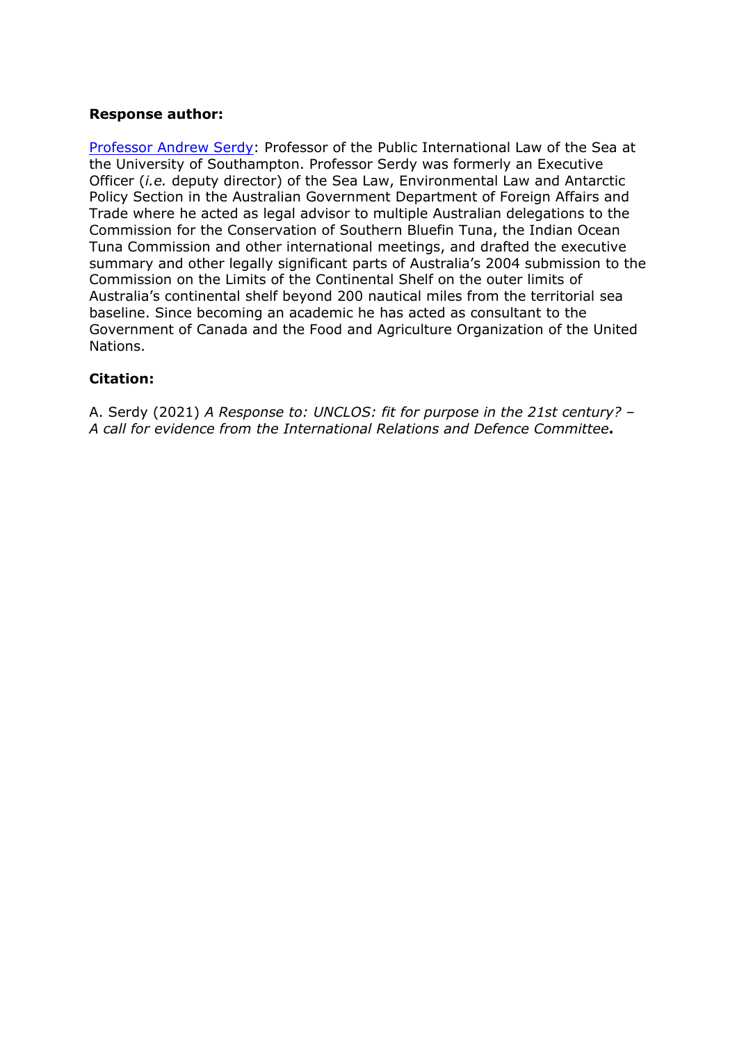#### **Response author:**

[Professor](https://www.southampton.ac.uk/law/about/staff/als1.page) [Andrew](https://www.southampton.ac.uk/law/about/staff/als1.page) [Serdy:](https://www.southampton.ac.uk/law/about/staff/als1.page) Professor of the Public International Law of the Sea at the University of Southampton. Professor Serdy was formerly an Executive Officer (*i.e.* deputy director) of the Sea Law, Environmental Law and Antarctic Policy Section in the Australian Government Department of Foreign Affairs and Trade where he acted as legal advisor to multiple Australian delegations to the Commission for the Conservation of Southern Bluefin Tuna, the Indian Ocean Tuna Commission and other international meetings, and drafted the executive summary and other legally significant parts of Australia's 2004 submission to the Commission on the Limits of the Continental Shelf on the outer limits of Australia's continental shelf beyond 200 nautical miles from the territorial sea baseline. Since becoming an academic he has acted as consultant to the Government of Canada and the Food and Agriculture Organization of the United Nations.

## **Citation:**

A. Serdy (2021) *A Response to: UNCLOS: fit for purpose in the 21st century? – A call for evidence from the International Relations and Defence Committee***.**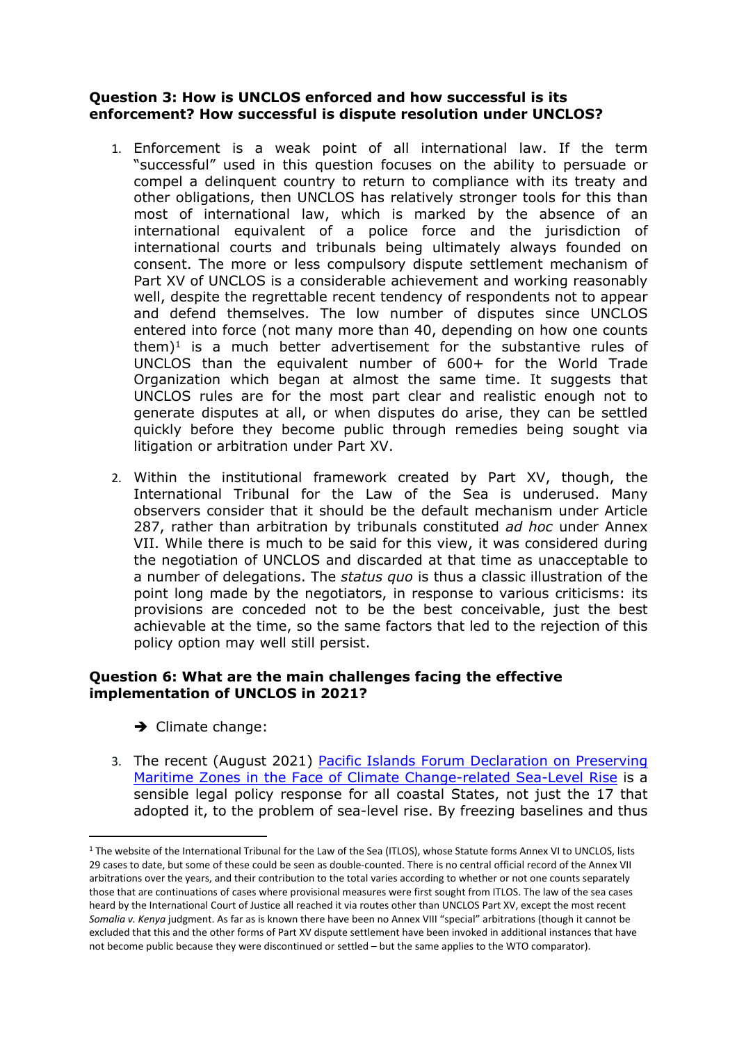#### **Question 3: How is UNCLOS enforced and how successful is its enforcement? How successful is dispute resolution under UNCLOS?**

- 1. Enforcement is a weak point of all international law. If the term "successful" used in this question focuses on the ability to persuade or compel a delinquent country to return to compliance with its treaty and other obligations, then UNCLOS has relatively stronger tools for this than most of international law, which is marked by the absence of an international equivalent of a police force and the jurisdiction of international courts and tribunals being ultimately always founded on consent. The more or less compulsory dispute settlement mechanism of Part XV of UNCLOS is a considerable achievement and working reasonably well, despite the regrettable recent tendency of respondents not to appear and defend themselves. The low number of disputes since UNCLOS entered into force (not many more than 40, depending on how one counts them) $1$  is a much better advertisement for the substantive rules of UNCLOS than the equivalent number of 600+ for the World Trade Organization which began at almost the same time. It suggests that UNCLOS rules are for the most part clear and realistic enough not to generate disputes at all, or when disputes do arise, they can be settled quickly before they become public through remedies being sought via litigation or arbitration under Part XV.
- 2. Within the institutional framework created by Part XV, though, the International Tribunal for the Law of the Sea is underused. Many observers consider that it should be the default mechanism under Article 287, rather than arbitration by tribunals constituted *ad hoc* under Annex VII. While there is much to be said for this view, it was considered during the negotiation of UNCLOS and discarded at that time as unacceptable to a number of delegations. The *status quo* is thus a classic illustration of the point long made by the negotiators, in response to various criticisms: its provisions are conceded not to be the best conceivable, just the best achievable at the time, so the same factors that led to the rejection of this policy option may well still persist.

## **Question 6: What are the main challenges facing the effective implementation of UNCLOS in 2021?**

- $\rightarrow$  Climate change:
- 3. The recent (August 2021) [Pacific](https://www.forumsec.org/2021/08/11/declaration-on-preserving-maritime-zones-in-the-face-of-climate-change-related-sea-level-rise/) [Islands](https://www.forumsec.org/2021/08/11/declaration-on-preserving-maritime-zones-in-the-face-of-climate-change-related-sea-level-rise/) [Forum](https://www.forumsec.org/2021/08/11/declaration-on-preserving-maritime-zones-in-the-face-of-climate-change-related-sea-level-rise/) [Declaration](https://www.forumsec.org/2021/08/11/declaration-on-preserving-maritime-zones-in-the-face-of-climate-change-related-sea-level-rise/) [on](https://www.forumsec.org/2021/08/11/declaration-on-preserving-maritime-zones-in-the-face-of-climate-change-related-sea-level-rise/) [Preserving](https://www.forumsec.org/2021/08/11/declaration-on-preserving-maritime-zones-in-the-face-of-climate-change-related-sea-level-rise/) [Maritime](https://www.forumsec.org/2021/08/11/declaration-on-preserving-maritime-zones-in-the-face-of-climate-change-related-sea-level-rise/) [Zones](https://www.forumsec.org/2021/08/11/declaration-on-preserving-maritime-zones-in-the-face-of-climate-change-related-sea-level-rise/) [in](https://www.forumsec.org/2021/08/11/declaration-on-preserving-maritime-zones-in-the-face-of-climate-change-related-sea-level-rise/) [the](https://www.forumsec.org/2021/08/11/declaration-on-preserving-maritime-zones-in-the-face-of-climate-change-related-sea-level-rise/) [Face](https://www.forumsec.org/2021/08/11/declaration-on-preserving-maritime-zones-in-the-face-of-climate-change-related-sea-level-rise/) [of](https://www.forumsec.org/2021/08/11/declaration-on-preserving-maritime-zones-in-the-face-of-climate-change-related-sea-level-rise/) [Climate](https://www.forumsec.org/2021/08/11/declaration-on-preserving-maritime-zones-in-the-face-of-climate-change-related-sea-level-rise/) [Change-related](https://www.forumsec.org/2021/08/11/declaration-on-preserving-maritime-zones-in-the-face-of-climate-change-related-sea-level-rise/) [Sea-Level](https://www.forumsec.org/2021/08/11/declaration-on-preserving-maritime-zones-in-the-face-of-climate-change-related-sea-level-rise/) [Rise](https://www.forumsec.org/2021/08/11/declaration-on-preserving-maritime-zones-in-the-face-of-climate-change-related-sea-level-rise/) is a sensible legal policy response for all coastal States, not just the 17 that adopted it, to the problem of sea-level rise. By freezing baselines and thus

<sup>&</sup>lt;sup>1</sup> The website of the International Tribunal for the Law of the Sea (ITLOS), whose Statute forms Annex VI to UNCLOS, lists 29 cases to date, but some of these could be seen as double-counted. There is no central official record of the Annex VII arbitrations over the years, and their contribution to the total varies according to whether or not one counts separately those that are continuations of cases where provisional measures were first sought from ITLOS. The law of the sea cases heard by the International Court of Justice all reached it via routes other than UNCLOS Part XV, except the most recent *Somalia v. Kenya* judgment. As far as is known there have been no Annex VIII "special" arbitrations (though it cannot be excluded that this and the other forms of Part XV dispute settlement have been invoked in additional instances that have not become public because they were discontinued or settled – but the same applies to the WTO comparator).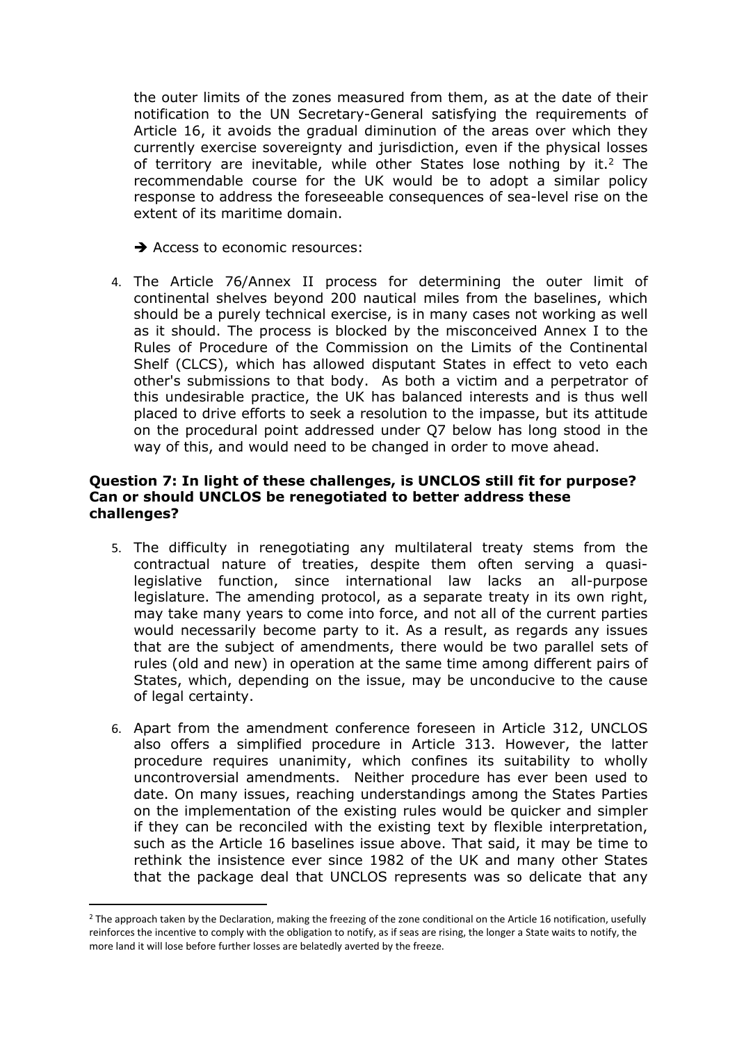the outer limits of the zones measured from them, as at the date of their notification to the UN Secretary-General satisfying the requirements of Article 16, it avoids the gradual diminution of the areas over which they currently exercise sovereignty and jurisdiction, even if the physical losses of territory are inevitable, while other States lose nothing by it.<sup>2</sup> The recommendable course for the UK would be to adopt a similar policy response to address the foreseeable consequences of sea-level rise on the extent of its maritime domain.

 $\rightarrow$  Access to economic resources:

4. The Article 76/Annex II process for determining the outer limit of continental shelves beyond 200 nautical miles from the baselines, which should be a purely technical exercise, is in many cases not working as well as it should. The process is blocked by the misconceived Annex I to the Rules of Procedure of the Commission on the Limits of the Continental Shelf (CLCS), which has allowed disputant States in effect to veto each other's submissions to that body. As both a victim and a perpetrator of this undesirable practice, the UK has balanced interests and is thus well placed to drive efforts to seek a resolution to the impasse, but its attitude on the procedural point addressed under Q7 below has long stood in the way of this, and would need to be changed in order to move ahead.

#### **Question 7: In light of these challenges, is UNCLOS still fit for purpose? Can or should UNCLOS be renegotiated to better address these challenges?**

- 5. The difficulty in renegotiating any multilateral treaty stems from the contractual nature of treaties, despite them often serving a quasilegislative function, since international law lacks an all-purpose legislature. The amending protocol, as a separate treaty in its own right, may take many years to come into force, and not all of the current parties would necessarily become party to it. As a result, as regards any issues that are the subject of amendments, there would be two parallel sets of rules (old and new) in operation at the same time among different pairs of States, which, depending on the issue, may be unconducive to the cause of legal certainty.
- 6. Apart from the amendment conference foreseen in Article 312, UNCLOS also offers a simplified procedure in Article 313. However, the latter procedure requires unanimity, which confines its suitability to wholly uncontroversial amendments. Neither procedure has ever been used to date. On many issues, reaching understandings among the States Parties on the implementation of the existing rules would be quicker and simpler if they can be reconciled with the existing text by flexible interpretation, such as the Article 16 baselines issue above. That said, it may be time to rethink the insistence ever since 1982 of the UK and many other States that the package deal that UNCLOS represents was so delicate that any

<sup>&</sup>lt;sup>2</sup> The approach taken by the Declaration, making the freezing of the zone conditional on the Article 16 notification, usefully reinforces the incentive to comply with the obligation to notify, as if seas are rising, the longer a State waits to notify, the more land it will lose before further losses are belatedly averted by the freeze.